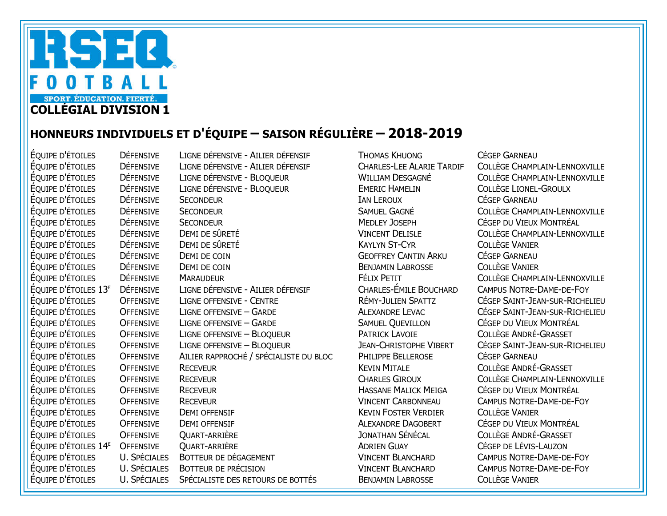

## HONNEURS INDIVIDUELS ET D'ÉQUIPE – SAISON RÉGULIÈRE – 2018-2019

ÉQUIPE D'ÉTOILES DÉFENSIVE LIGNE DÉFENSIVE - AILIER DÉFENSIF THOMAS KHUONG CÉGEP GARNEAU ÉQUIPE D'ÉTOILES DÉFENSIVE LIGNE DÉFENSIVE - AILIER DÉFENSIF CHARLES-LEE ALARIE TARDIF COLLÈGE CHAMPLAIN-LENNOXVILLE ÉQUIPE D'ÉTOILES DÉFENSIVE LIGNE DÉFENSIVE - BLOQUEUR WILLIAM DESGAGNÉ COLLÈGE CHAMPLAIN-LENNOXVILLE ÉQUIPE D'ÉTOILES DÉFENSIVE LIGNE DÉFENSIVE - BLOQUEUR EMERIC HAMELIN COLLÈGE LIONEL-GROULX ÉQUIPE D'ÉTOILES DÉFENSIVE SECONDEUR IAN LEROUX CÉGEP GARNEAU ÉQUIPE D'ÉTOILES DÉFENSIVE SECONDEUR SANTENDO EN SAMUEL GAGNÉ COLLÈGE CHAMPLAIN-LENNOXVILLE ÉQUIPE D'ÉTOILES DÉFENSIVE SECONDEUR MEDLEY JOSEPH CÉGEP DU VIEUX MONTRÉAL ÉQUIPE D'ÉTOILES DÉFENSIVE DEMI DE SÛRETÉ VINCENT DELISLE COLLÈGE CHAMPLAIN-LENNOXVILLE ÉQUIPE D'ÉTOILES DÉFENSIVE DEMI DE SÛRETÉ KAYLYN ST-CYR COLLÈGE VANIER ÉQUIPE D'ÉTOILES DÉFENSIVE DEMI DE COIN GEOFFREY CANTIN ARKU CÉGEP GARNEAU ÉQUIPE D'ÉTOILES DÉFENSIVE DEMI DE COIN BENJAMIN LABROSSE COLLÈGE VANIER ÉQUIPE D'ÉTOILES DÉFENSIVE MARAUDEUR FÉLIX PETIT COLLÈGE CHAMPLAIN-LENNOXVILLE ÉQUIPE D'ÉTOILES 13E DÉFENSIVE LIGNE DÉFENSIVE - AILIER DÉFENSIF CHARLES-ÉMILE BOUCHARD CAMPUS NOTRE-DAME-DE-FOY ÉQUIPE D'ÉTOILES OFFENSIVE LIGNE OFFENSIVE - CENTRE RÉMY-JULIEN SPATTZ CÉGEP SAINT-JEAN-SUR-RICHELIEU ÉQUIPE D'ÉTOILES OFFENSIVE LIGNE OFFENSIVE – GARDE ALEXANDRE LEVAC CÉGEP SAINT-JEAN-SUR-RICHELIEU ÉQUIPE D'ÉTOILES OFFENSIVE LIGNE OFFENSIVE – GARDE SAMUEL QUEVILLON CÉGEP DU VIEUX MONTRÉAL ÉQUIPE D'ÉTOILES OFFENSIVE LIGNE OFFENSIVE – BLOQUEUR PATRICK LAVOIE COLLÈGE ANDRÉ-GRASSET ÉQUIPE D'ÉTOILES OFFENSIVE LIGNE OFFENSIVE – BLOQUEUR JEAN-CHRISTOPHE VIBERT CÉGEP SAINT-JEAN-SUR-RICHELIEU ÉQUIPE D'ÉTOILES OFFENSIVE AILIER RAPPROCHÉ / SPÉCIALISTE DU BLOC PHILIPPE BELLEROSE CÉGEP GARNEAU ÉQUIPE D'ÉTOILES OFFENSIVE RECEVEUR KEVIN MITALE COLLÈGE ANDRÉ-GRASSET ÉQUIPE D'ÉTOILES OFFENSIVE RECEVEUR CHARLES GIROUX COLLÈGE CHAMPLAIN-LENNOXVILLE ÉQUIPE D'ÉTOILES OFFENSIVE RECEVEUR HASSANE MALICK MEIGA CÉGEP DU VIEUX MONTRÉAL ÉQUIPE D'ÉTOILES OFFENSIVE RECEVEUR VINCENT CARBONNEAU CAMPUS NOTRE-DAME-DE-FOY ÉQUIPE D'ÉTOILES OFFENSIVE DEMI OFFENSIF KEVIN FOSTER VERDIER COLLÈGE VANIER OFFENSIVE DEMI OFFENSIF THE SECOND DEL SECONDO DE LA CEGEP DU VIEUX MONTRÉAL ÉQUIPE D'ÉTOILES OFFENSIVE QUART-ARRIÈRE JONATHAN SÉNÉCAL COLLÈGE ANDRÉ-GRASSET ÉQUIPE D'ÉTOILES 14E OFFENSIVE QUART-ARRIÈRE ADRIEN GUAY CÉGEP DE LÉVIS-LAUZON ÉQUIPE D'ÉTOILES U. SPÉCIALES BOTTEUR DE DÉGAGEMENT VINCENT BLANCHARD CAMPUS NOTRE-DAME-DE-FOY ÉQUIPE D'ÉTOILES U. SPÉCIALES BOTTEUR DE PRÉCISION VINCENT BLANCHARD CAMPUS NOTRE-DAME-DE-FOY ÉQUIPE D'ÉTOILES U. SPÉCIALES SPÉCIALISTE DES RETOURS DE BOTTÉS BENJAMIN LABROSSE COLLÈGE VANIER